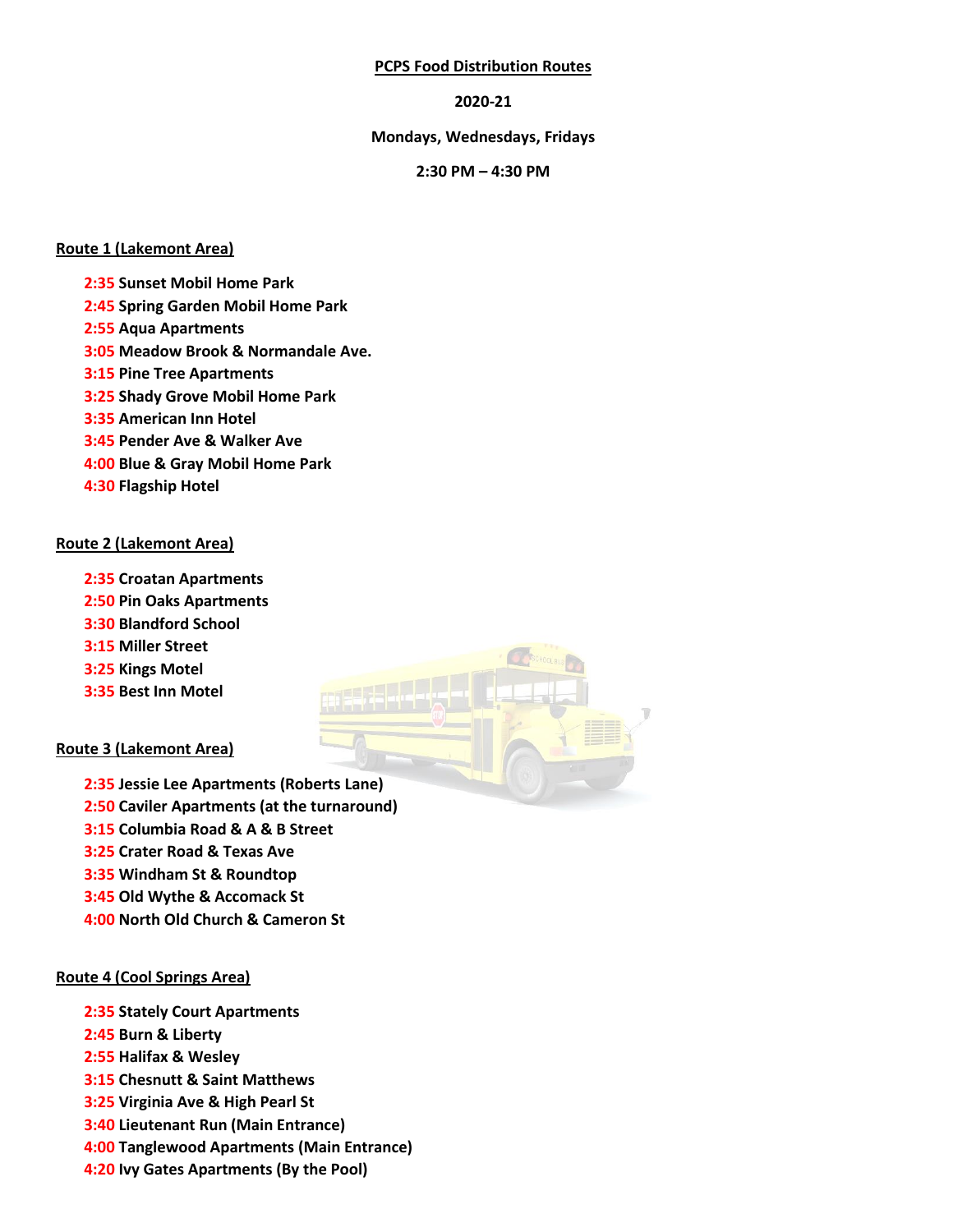### **PCPS Food Distribution Routes**

### **2020-21**

#### **Mondays, Wednesdays, Fridays**

### **2:30 PM – 4:30 PM**

### **Route 1 (Lakemont Area)**

- **2:35 Sunset Mobil Home Park**
- **2:45 Spring Garden Mobil Home Park**
- **2:55 Aqua Apartments**
- **3:05 Meadow Brook & Normandale Ave.**
- **3:15 Pine Tree Apartments**
- **3:25 Shady Grove Mobil Home Park**
- **3:35 American Inn Hotel**
- **3:45 Pender Ave & Walker Ave**
- **4:00 Blue & Gray Mobil Home Park**
- **4:30 Flagship Hotel**

### **Route 2 (Lakemont Area)**

**2:35 Croatan Apartments 2:50 Pin Oaks Apartments 3:30 Blandford School 3:15 Miller Street 3:25 Kings Motel 3:35 Best Inn Motel**

### **Route 3 (Lakemont Area)**

- **2:35 Jessie Lee Apartments (Roberts Lane) 2:50 Caviler Apartments (at the turnaround) 3:15 Columbia Road & A & B Street 3:25 Crater Road & Texas Ave**
- **3:35 Windham St & Roundtop**
- **3:45 Old Wythe & Accomack St**
- **4:00 North Old Church & Cameron St**

### **Route 4 (Cool Springs Area)**

- **2:35 Stately Court Apartments**
- **2:45 Burn & Liberty**
- **2:55 Halifax & Wesley**
- **3:15 Chesnutt & Saint Matthews**
- **3:25 Virginia Ave & High Pearl St**
- **3:40 Lieutenant Run (Main Entrance)**
- **4:00 Tanglewood Apartments (Main Entrance)**
- **4:20 Ivy Gates Apartments (By the Pool)**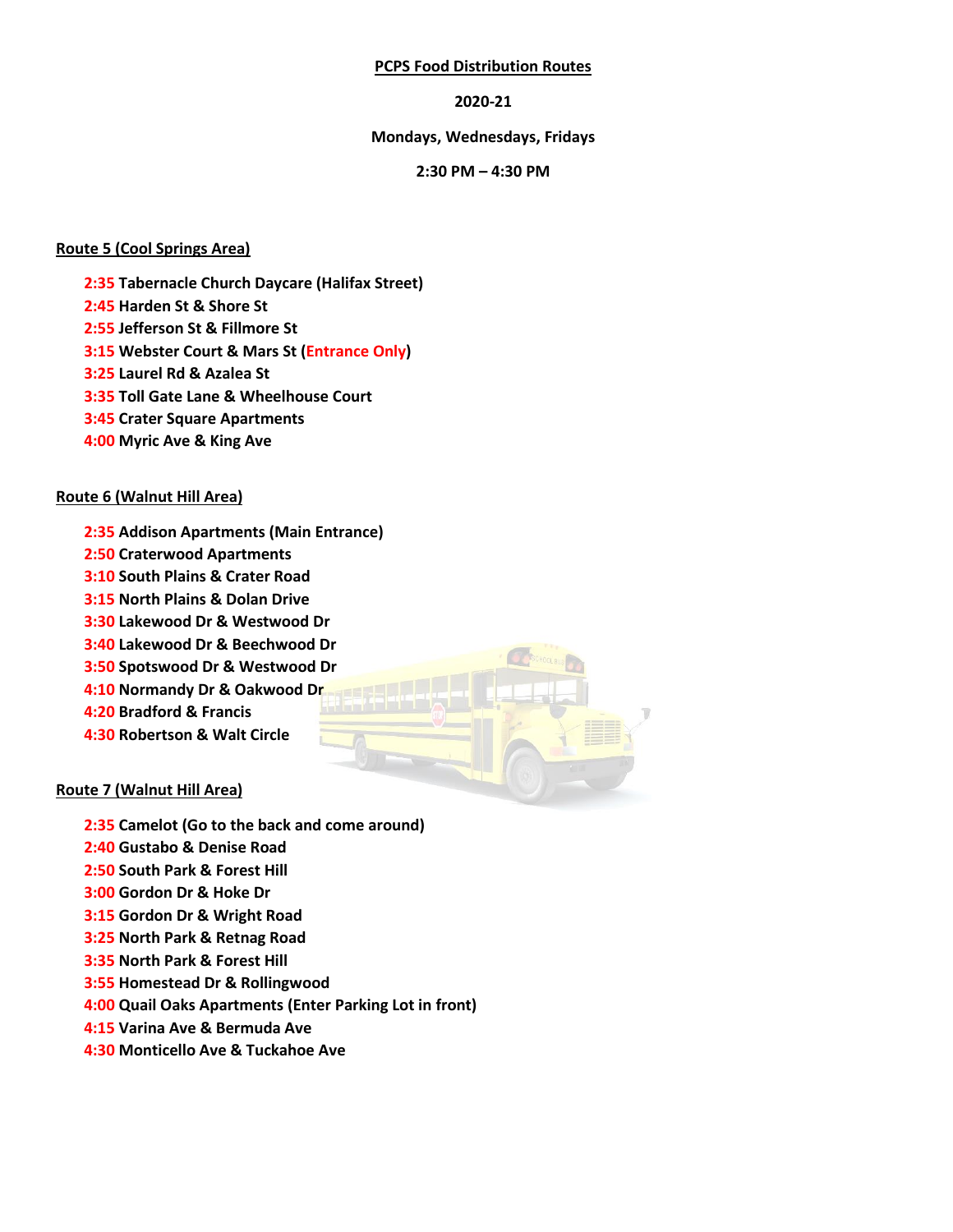### **PCPS Food Distribution Routes**

## **2020-21**

## **Mondays, Wednesdays, Fridays**

### **2:30 PM – 4:30 PM**

## **Route 5 (Cool Springs Area)**

**2:35 Tabernacle Church Daycare (Halifax Street)**

- **2:45 Harden St & Shore St**
- **2:55 Jefferson St & Fillmore St**
- **3:15 Webster Court & Mars St (Entrance Only)**
- **3:25 Laurel Rd & Azalea St**
- **3:35 Toll Gate Lane & Wheelhouse Court**
- **3:45 Crater Square Apartments**
- **4:00 Myric Ave & King Ave**

## **Route 6 (Walnut Hill Area)**

- **2:35 Addison Apartments (Main Entrance) 2:50 Craterwood Apartments**
- **3:10 South Plains & Crater Road 3:15 North Plains & Dolan Drive**
- **3:30 Lakewood Dr & Westwood Dr**
- **3:40 Lakewood Dr & Beechwood Dr**
- **3:50 Spotswood Dr & Westwood Dr**
- 
- **4:10 Normandy Dr & Oakwood Dr 4:20 Bradford & Francis**
- **4:30 Robertson & Walt Circle**

# **Route 7 (Walnut Hill Area)**

- **2:35 Camelot (Go to the back and come around)**
- **2:40 Gustabo & Denise Road**
- **2:50 South Park & Forest Hill**
- **3:00 Gordon Dr & Hoke Dr**
- **3:15 Gordon Dr & Wright Road**
- **3:25 North Park & Retnag Road**
- **3:35 North Park & Forest Hill**
- **3:55 Homestead Dr & Rollingwood**
- **4:00 Quail Oaks Apartments (Enter Parking Lot in front)**
- **4:15 Varina Ave & Bermuda Ave**
- **4:30 Monticello Ave & Tuckahoe Ave**